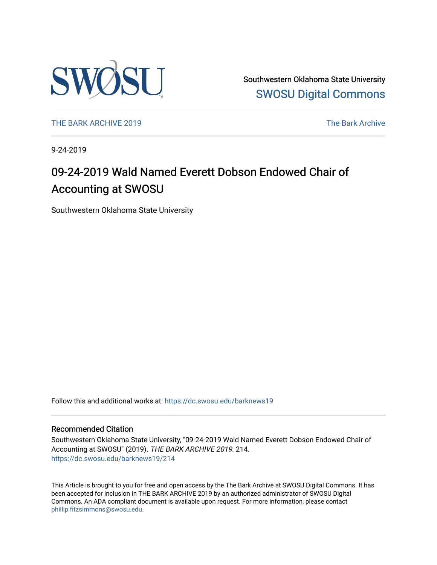

Southwestern Oklahoma State University [SWOSU Digital Commons](https://dc.swosu.edu/) 

[THE BARK ARCHIVE 2019](https://dc.swosu.edu/barknews19) The Bark Archive

9-24-2019

# 09-24-2019 Wald Named Everett Dobson Endowed Chair of Accounting at SWOSU

Southwestern Oklahoma State University

Follow this and additional works at: [https://dc.swosu.edu/barknews19](https://dc.swosu.edu/barknews19?utm_source=dc.swosu.edu%2Fbarknews19%2F214&utm_medium=PDF&utm_campaign=PDFCoverPages)

#### Recommended Citation

Southwestern Oklahoma State University, "09-24-2019 Wald Named Everett Dobson Endowed Chair of Accounting at SWOSU" (2019). THE BARK ARCHIVE 2019. 214. [https://dc.swosu.edu/barknews19/214](https://dc.swosu.edu/barknews19/214?utm_source=dc.swosu.edu%2Fbarknews19%2F214&utm_medium=PDF&utm_campaign=PDFCoverPages)

This Article is brought to you for free and open access by the The Bark Archive at SWOSU Digital Commons. It has been accepted for inclusion in THE BARK ARCHIVE 2019 by an authorized administrator of SWOSU Digital Commons. An ADA compliant document is available upon request. For more information, please contact [phillip.fitzsimmons@swosu.edu](mailto:phillip.fitzsimmons@swosu.edu).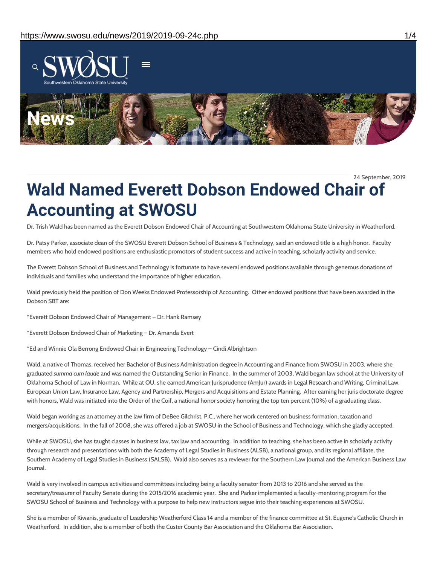

24 September, 2019

# **Wald Named Everett Dobson Endowed Chair of Accounting at SWOSU**

Dr. Trish Wald has been named as the Everett Dobson Endowed Chair of Accounting at Southwestern Oklahoma State University in Weatherford.

Dr. Patsy Parker, associate dean of the SWOSU Everett Dobson School of Business & Technology, said an endowed title is a high honor. Faculty members who hold endowed positions are enthusiastic promotors of student success and active in teaching, scholarly activity and service.

The Everett Dobson School of Business and Technology is fortunate to have several endowed positions available through generous donations of individuals and families who understand the importance of higher education.

Wald previously held the position of Don Weeks Endowed Professorship of Accounting. Other endowed positions that have been awarded in the Dobson SBT are:

\*Everett Dobson Endowed Chair of Management – Dr. Hank Ramsey

\*Everett Dobson Endowed Chair of Marketing – Dr. Amanda Evert

\*Ed and Winnie Ola Berrong Endowed Chair in Engineering Technology – Cindi Albrightson

Wald, a native of Thomas, received her Bachelor of Business Administration degree in Accounting and Finance from SWOSU in 2003, where she graduated *summa cum laude* and was named the Outstanding Senior in Finance. In the summer of 2003, Wald began law school at the University of Oklahoma School of Law in Norman. While at OU, she earned American Jurisprudence (AmJur) awards in Legal Research and Writing, Criminal Law, European Union Law, Insurance Law, Agency and Partnership, Mergers and Acquisitions and Estate Planning. After earning her juris doctorate degree with honors, Wald was initiated into the Order of the Coif, a national honor society honoring the top ten percent (10%) of a graduating class.

Wald began working as an attorney at the law firm of DeBee Gilchrist, P.C., where her work centered on business formation, taxation and mergers/acquisitions. In the fall of 2008, she was offered a job at SWOSU in the School of Business and Technology, which she gladly accepted.

While at SWOSU, she has taught classes in business law, tax law and accounting. In addition to teaching, she has been active in scholarly activity through research and presentations with both the Academy of Legal Studies in Business (ALSB), a national group, and its regional affiliate, the Southern Academy of Legal Studies in Business (SALSB). Wald also serves as a reviewer for the Southern Law Journal and the American Business Law Journal.

Wald is very involved in campus activities and committees including being a faculty senator from 2013 to 2016 and she served as the secretary/treasurer of Faculty Senate during the 2015/2016 academic year. She and Parker implemented a faculty-mentoring program for the SWOSU School of Business and Technology with a purpose to help new instructors segue into their teaching experiences at SWOSU.

She is a member of Kiwanis, graduate of Leadership Weatherford Class 14 and a member of the finance committee at St. Eugene's Catholic Church in Weatherford. In addition, she is a member of both the Custer County Bar Association and the Oklahoma Bar Association.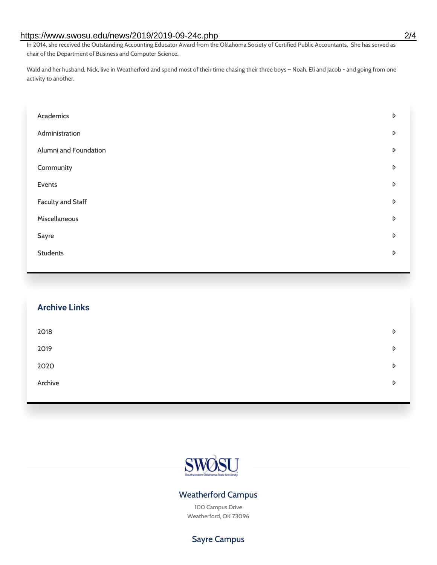#### https://www.swosu.edu/news/2019/2019-09-24c.php 2/4

In 2014, she received the Outstanding Accounting Educator Award from the Oklahoma Society of Certified Public Accountants. She has served as chair of the Department of Business and Computer Science.

Wald and her husband, Nick, live in Weatherford and spend most of their time chasing their three boys – Noah, Eli and Jacob - and going from one activity to another.

| Academics             | D |
|-----------------------|---|
| Administration        | D |
| Alumni and Foundation | D |
| Community             | D |
| Events                | D |
| Faculty and Staff     | D |
| Miscellaneous         | D |
| Sayre                 | D |
| <b>Students</b>       | D |
|                       |   |

| <b>Archive Links</b> |   |
|----------------------|---|
| 2018                 | D |
| 2019                 | D |
| 2020                 | D |
| Archive              | D |
|                      |   |



### Weatherford Campus

100 Campus Drive Weatherford, OK 73096

Sayre Campus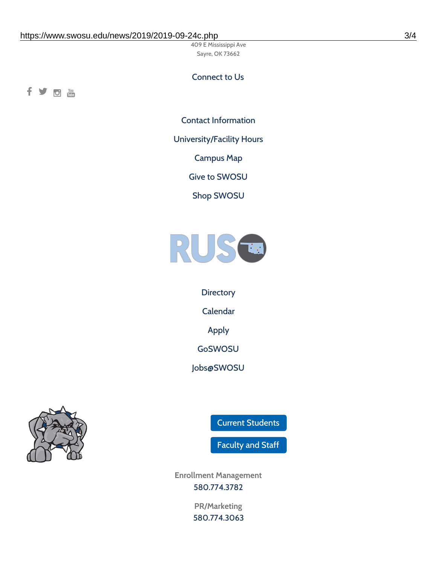409 E Mississippi Ave Sayre, OK 73662

## Connect to Us

fyom

Contact [Information](https://www.swosu.edu/about/contact.php)

[University/Facility](https://www.swosu.edu/about/operating-hours.php) Hours

[Campus](https://map.concept3d.com/?id=768#!ct/10964,10214,10213,10212,10205,10204,10203,10202,10136,10129,10128,0,31226,10130,10201,10641,0) Map

Give to [SWOSU](https://standingfirmly.com/donate)

Shop [SWOSU](https://shopswosu.merchorders.com/)



**[Directory](https://www.swosu.edu/directory/index.php)** [Calendar](https://eventpublisher.dudesolutions.com/swosu/) [Apply](https://www.swosu.edu/admissions/apply-to-swosu.php) [GoSWOSU](https://qlsso.quicklaunchsso.com/home/1267) [Jobs@SWOSU](https://swosu.csod.com/ux/ats/careersite/1/home?c=swosu)



Current [Students](https://bulldog.swosu.edu/index.php)

[Faculty](https://bulldog.swosu.edu/faculty-staff/index.php) and Staff

**Enrollment Management** [580.774.3782](tel:5807743782)

> **PR/Marketing** [580.774.3063](tel:5807743063)